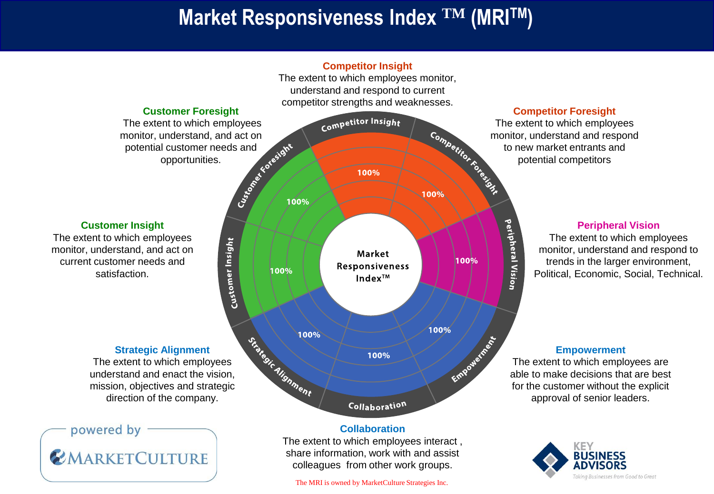## **Market Responsiveness Index TM (MRITM)**



**Competitor Insight** 

monitor, understand, and act on

**EMARKETCULTURE** 

share information, work with and assist colleagues from other work groups.

The MRI is owned by MarketCulture Strategies Inc.